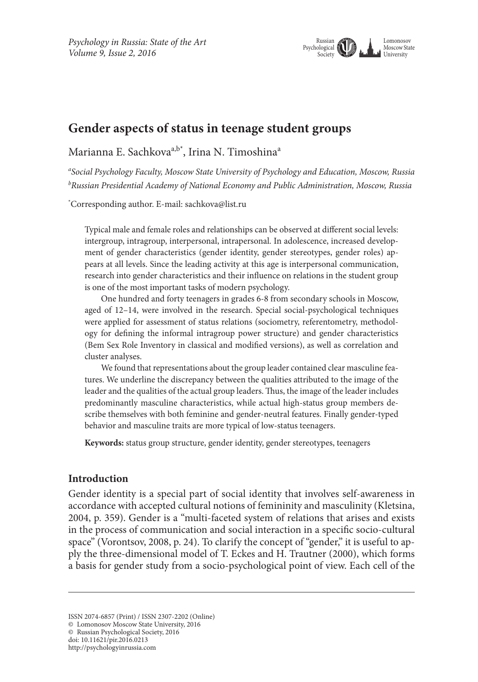

# **Gender aspects of status in teenage student groups**

Marianna E. Sachkova<sup>a,b\*</sup>, Irina N. Timoshina<sup>a</sup>

*a Social Psychology Faculty, Moscow State University of Psychology and Education, Moscow, Russia b Russian Presidential Academy of National Economy and Public Administration, Moscow, Russia*

\* Corresponding author. E-mail: sachkova@list.ru

Typical male and female roles and relationships can be observed at different social levels: intergroup, intragroup, interpersonal, intrapersonal. In adolescence, increased development of gender characteristics (gender identity, gender stereotypes, gender roles) appears at all levels. Since the leading activity at this age is interpersonal communication, research into gender characteristics and their influence on relations in the student group is one of the most important tasks of modern psychology.

One hundred and forty teenagers in grades 6-8 from secondary schools in Moscow, aged of 12–14, were involved in the research. Special social-psychological techniques were applied for assessment of status relations (sociometry, referentometry, methodology for defining the informal intragroup power structure) and gender characteristics (Bem Sex Role Inventory in classical and modified versions), as well as correlation and cluster analyses.

We found that representations about the group leader contained clear masculine features. We underline the discrepancy between the qualities attributed to the image of the leader and the qualities of the actual group leaders. Thus, the image of the leader includes predominantly masculine characteristics, while actual high-status group members describe themselves with both feminine and gender-neutral features. Finally gender-typed behavior and masculine traits are more typical of low-status teenagers.

**Keywords:** status group structure, gender identity, gender stereotypes, teenagers

## **Introduction**

Gender identity is a special part of social identity that involves self-awareness in accordance with accepted cultural notions of femininity and masculinity (Kletsina, 2004, p. 359). Gender is a "multi-faceted system of relations that arises and exists in the process of communication and social interaction in a specific socio-cultural space" (Vorontsov, 2008, p. 24). To clarify the concept of "gender," it is useful to apply the three-dimensional model of T. Eckes and H. Trautner (2000), which forms a basis for gender study from a socio-psychological point of view. Each cell of the

ISSN 2074-6857 (Print) / ISSN 2307-2202 (Online)

<sup>©</sup> Lomonosov Moscow State University, 2016

<sup>©</sup> Russian Psychological Society, 2016

doi: 10.11621/pir.2016.0213

http://psychologyinrussia.com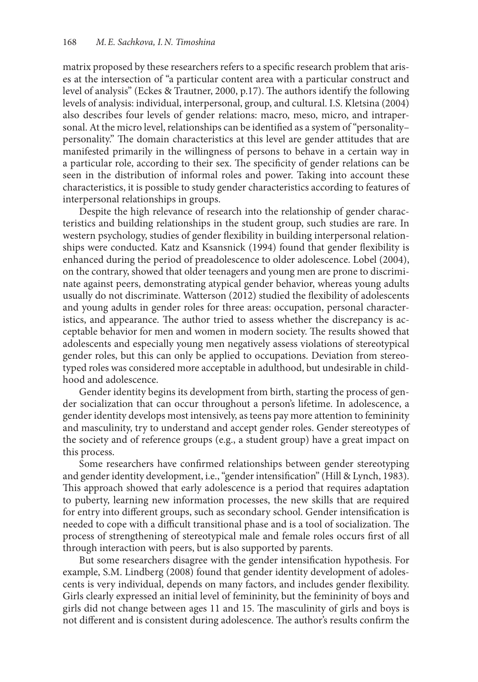matrix proposed by these researchers refers to a specific research problem that arises at the intersection of "a particular content area with a particular construct and level of analysis" (Eckes & Trautner, 2000, p.17). The authors identify the following levels of analysis: individual, interpersonal, group, and cultural. I.S. Kletsina (2004) also describes four levels of gender relations: macro, meso, micro, and intrapersonal. At the micro level, relationships can be identified as a system of "personality– personality." The domain characteristics at this level are gender attitudes that are manifested primarily in the willingness of persons to behave in a certain way in a particular role, according to their sex. The specificity of gender relations can be seen in the distribution of informal roles and power. Taking into account these characteristics, it is possible to study gender characteristics according to features of interpersonal relationships in groups.

Despite the high relevance of research into the relationship of gender characteristics and building relationships in the student group, such studies are rare. In western psychology, studies of gender flexibility in building interpersonal relationships were conducted. Katz and Ksansnick (1994) found that gender flexibility is enhanced during the period of preadolescence to older adolescence. Lobel (2004), on the contrary, showed that older teenagers and young men are prone to discriminate against peers, demonstrating atypical gender behavior, whereas young adults usually do not discriminate. Watterson (2012) studied the flexibility of adolescents and young adults in gender roles for three areas: occupation, personal characteristics, and appearance. The author tried to assess whether the discrepancy is acceptable behavior for men and women in modern society. The results showed that adolescents and especially young men negatively assess violations of stereotypical gender roles, but this can only be applied to occupations. Deviation from stereotyped roles was considered more acceptable in adulthood, but undesirable in childhood and adolescence.

Gender identity begins its development from birth, starting the process of gender socialization that can occur throughout a person's lifetime. In adolescence, a gender identity develops most intensively, as teens pay more attention to femininity and masculinity, try to understand and accept gender roles. Gender stereotypes of the society and of reference groups (e.g., a student group) have a great impact on this process.

Some researchers have confirmed relationships between gender stereotyping and gender identity development, i.e., "gender intensification" (Hill & Lynch, 1983). This approach showed that early adolescence is a period that requires adaptation to puberty, learning new information processes, the new skills that are required for entry into different groups, such as secondary school. Gender intensification is needed to cope with a difficult transitional phase and is a tool of socialization. The process of strengthening of stereotypical male and female roles occurs first of all through interaction with peers, but is also supported by parents.

But some researchers disagree with the gender intensification hypothesis. For example, S.M. Lindberg (2008) found that gender identity development of adolescents is very individual, depends on many factors, and includes gender flexibility. Girls clearly expressed an initial level of femininity, but the femininity of boys and girls did not change between ages 11 and 15. The masculinity of girls and boys is not different and is consistent during adolescence. The author's results confirm the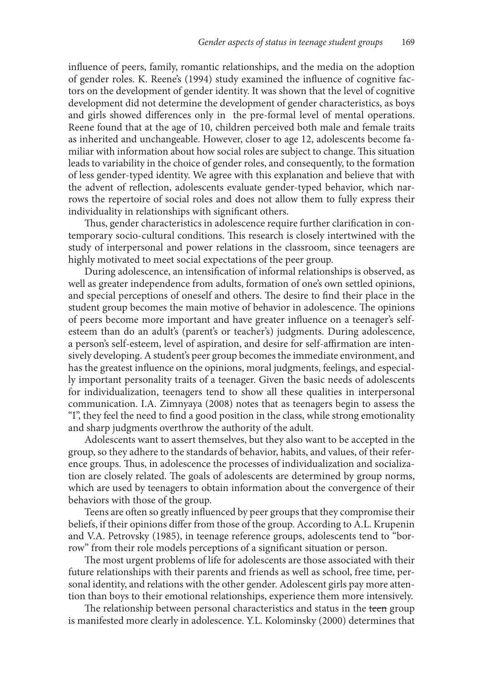influence of peers, family, romantic relationships, and the media on the adoption of gender roles. K. Reene's (1994) study examined the influence of cognitive factors on the development of gender identity. It was shown that the level of cognitive development did not determine the development of gender characteristics, as boys and girls showed differences only in the pre-formal level of mental operations. Reene found that at the age of 10, children perceived both male and female traits as inherited and unchangeable. However, closer to age 12, adolescents become familiar with information about how social roles are subject to change. This situation leads to variability in the choice of gender roles, and consequently, to the formation of less gender-typed identity. We agree with this explanation and believe that with the advent of reflection, adolescents evaluate gender-typed behavior, which narrows the repertoire of social roles and does not allow them to fully express their individuality in relationships with significant others.

Thus, gender characteristics in adolescence require further clarification in contemporary socio-cultural conditions. This research is closely intertwined with the study of interpersonal and power relations in the classroom, since teenagers are highly motivated to meet social expectations of the peer group.

During adolescence, an intensification of informal relationships is observed, as well as greater independence from adults, formation of one's own settled opinions, and special perceptions of oneself and others. The desire to find their place in the student group becomes the main motive of behavior in adolescence. The opinions of peers become more important and have greater influence on a teenager's selfesteem than do an adult's (parent's or teacher's) judgments. During adolescence, a person's self-esteem, level of aspiration, and desire for self-affirmation are intensively developing. A student's peer group becomes the immediate environment, and has the greatest influence on the opinions, moral judgments, feelings, and especially important personality traits of a teenager. Given the basic needs of adolescents for individualization, teenagers tend to show all these qualities in interpersonal communication. I.A. Zimnyaya (2008) notes that as teenagers begin to assess the "I", they feel the need to find a good position in the class, while strong emotionality and sharp judgments overthrow the authority of the adult.

Adolescents want to assert themselves, but they also want to be accepted in the group, so they adhere to the standards of behavior, habits, and values, of their reference groups. Thus, in adolescence the processes of individualization and socialization are closely related. The goals of adolescents are determined by group norms, which are used by teenagers to obtain information about the convergence of their behaviors with those of the group.

Teens are often so greatly influenced by peer groups that they compromise their beliefs, if their opinions differ from those of the group. According to A.L. Krupenin and V.A. Petrovsky (1985), in teenage reference groups, adolescents tend to "borrow" from their role models perceptions of a significant situation or person.

The most urgent problems of life for adolescents are those associated with their future relationships with their parents and friends as well as school, free time, personal identity, and relations with the other gender. Adolescent girls pay more attention than boys to their emotional relationships, experience them more intensively.

The relationship between personal characteristics and status in the teen group is manifested more clearly in adolescence. Y.L. Kolominsky (2000) determines that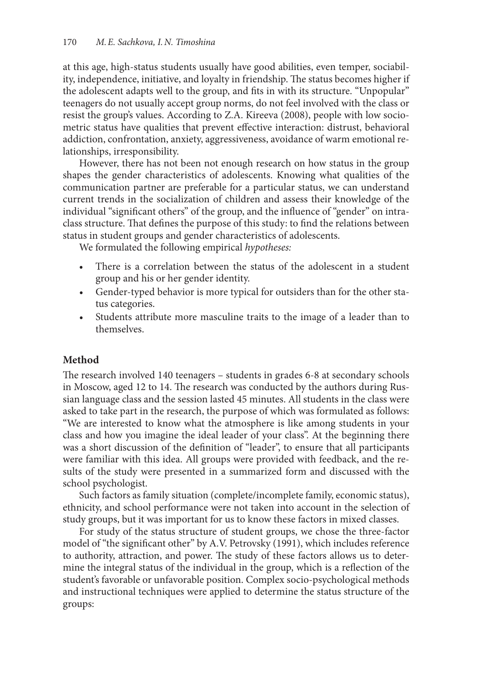at this age, high-status students usually have good abilities, even temper, sociability, independence, initiative, and loyalty in friendship. The status becomes higher if the adolescent adapts well to the group, and fits in with its structure. "Unpopular" teenagers do not usually accept group norms, do not feel involved with the class or resist the group's values. According to Z.A. Kireeva (2008), people with low sociometric status have qualities that prevent effective interaction: distrust, behavioral addiction, confrontation, anxiety, aggressiveness, avoidance of warm emotional relationships, irresponsibility.

However, there has not been not enough research on how status in the group shapes the gender characteristics of adolescents. Knowing what qualities of the communication partner are preferable for a particular status, we can understand current trends in the socialization of children and assess their knowledge of the individual "significant others" of the group, and the influence of "gender" on intraclass structure. That defines the purpose of this study: to find the relations between status in student groups and gender characteristics of adolescents.

We formulated the following empirical *hypotheses:*

- There is a correlation between the status of the adolescent in a student group and his or her gender identity.
- • Gender-typed behavior is more typical for outsiders than for the other status categories.
- Students attribute more masculine traits to the image of a leader than to themselves.

# **Method**

The research involved 140 teenagers – students in grades 6-8 at secondary schools in Moscow, aged 12 to 14. The research was conducted by the authors during Russian language class and the session lasted 45 minutes. All students in the class were asked to take part in the research, the purpose of which was formulated as follows: "We are interested to know what the atmosphere is like among students in your class and how you imagine the ideal leader of your class". At the beginning there was a short discussion of the definition of "leader", to ensure that all participants were familiar with this idea. All groups were provided with feedback, and the results of the study were presented in a summarized form and discussed with the school psychologist.

Such factors as family situation (complete/incomplete family, economic status), ethnicity, and school performance were not taken into account in the selection of study groups, but it was important for us to know these factors in mixed classes.

For study of the status structure of student groups, we chose the three-factor model of "the significant other" by A.V. Petrovsky (1991), which includes reference to authority, attraction, and power. The study of these factors allows us to determine the integral status of the individual in the group, which is a reflection of the student's favorable or unfavorable position. Complex socio-psychological methods and instructional techniques were applied to determine the status structure of the groups: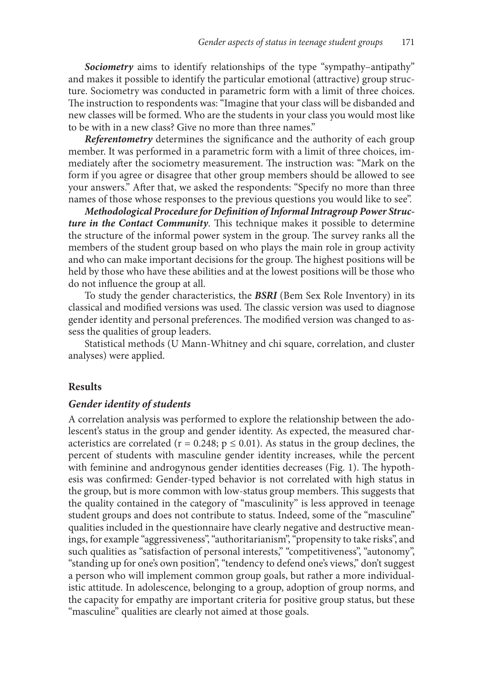*Sociometry* aims to identify relationships of the type "sympathy–antipathy" and makes it possible to identify the particular emotional (attractive) group structure. Sociometry was conducted in parametric form with a limit of three choices. The instruction to respondents was: "Imagine that your class will be disbanded and new classes will be formed. Who are the students in your class you would most like to be with in a new class? Give no more than three names."

*Referentometry* determines the significance and the authority of each group member. It was performed in a parametric form with a limit of three choices, immediately after the sociometry measurement. The instruction was: "Mark on the form if you agree or disagree that other group members should be allowed to see your answers." After that, we asked the respondents: "Specify no more than three names of those whose responses to the previous questions you would like to see".

*Methodological Procedure for Definition of Informal Intragroup Power Structure in the Contact Community*. This technique makes it possible to determine the structure of the informal power system in the group. The survey ranks all the members of the student group based on who plays the main role in group activity and who can make important decisions for the group. The highest positions will be held by those who have these abilities and at the lowest positions will be those who do not influence the group at all.

To study the gender characteristics, the *BSRI* (Bem Sex Role Inventory) in its classical and modified versions was used. The classic version was used to diagnose gender identity and personal preferences. The modified version was changed to assess the qualities of group leaders.

Statistical methods (U Mann-Whitney and chi square, correlation, and cluster analyses) were applied.

## **Results**

### *Gender identity of students*

A correlation analysis was performed to explore the relationship between the adolescent's status in the group and gender identity. As expected, the measured characteristics are correlated ( $r = 0.248$ ;  $p \le 0.01$ ). As status in the group declines, the percent of students with masculine gender identity increases, while the percent with feminine and androgynous gender identities decreases (Fig. 1). The hypothesis was confirmed: Gender-typed behavior is not correlated with high status in the group, but is more common with low-status group members. This suggests that the quality contained in the category of "masculinity" is less approved in teenage student groups and does not contribute to status. Indeed, some of the "masculine" qualities included in the questionnaire have clearly negative and destructive meanings, for example "aggressiveness", "authoritarianism", "propensity to take risks", and such qualities as "satisfaction of personal interests," "competitiveness", "autonomy", "standing up for one's own position", "tendency to defend one's views," don't suggest a person who will implement common group goals, but rather a more individualistic attitude. In adolescence, belonging to a group, adoption of group norms, and the capacity for empathy are important criteria for positive group status, but these "masculine" qualities are clearly not aimed at those goals.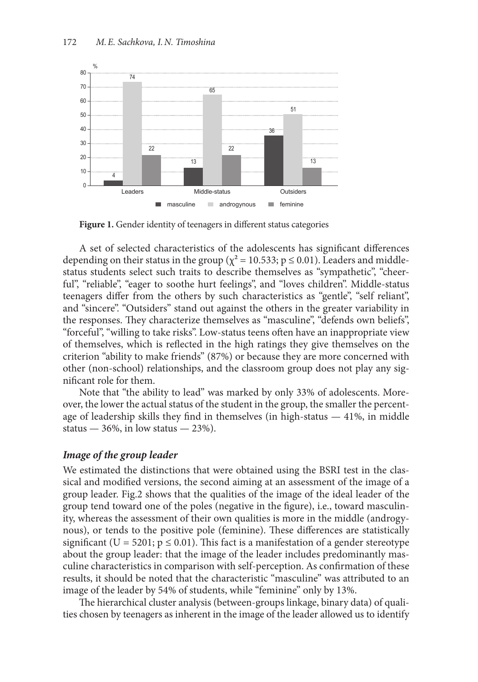

**Figure 1.** Gender identity of teenagers in different status categories

A set of selected characteristics of the adolescents has significant differences depending on their status in the group ( $\chi^2$  = 10.533; p  $\leq$  0.01). Leaders and middlestatus students select such traits to describe themselves as "sympathetic", "cheerful", "reliable", "eager to soothe hurt feelings", and "loves children". Middle-status teenagers differ from the others by such characteristics as "gentle", "self reliant", and "sincere". "Outsiders" stand out against the others in the greater variability in the responses. They characterize themselves as "masculine", "defends own beliefs", "forceful", "willing to take risks". Low-status teens often have an inappropriate view of themselves, which is reflected in the high ratings they give themselves on the criterion "ability to make friends" (87%) or because they are more concerned with other (non-school) relationships, and the classroom group does not play any significant role for them.

Note that "the ability to lead" was marked by only 33% of adolescents. Moreover, the lower the actual status of the student in the group, the smaller the percentage of leadership skills they find in themselves (in high-status — 41%, in middle status —  $36\%$ , in low status —  $23\%$ ).

#### *Image of the group leader*

We estimated the distinctions that were obtained using the BSRI test in the classical and modified versions, the second aiming at an assessment of the image of a group leader. Fig.2 shows that the qualities of the image of the ideal leader of the group tend toward one of the poles (negative in the figure), i.e., toward masculinity, whereas the assessment of their own qualities is more in the middle (androgynous), or tends to the positive pole (feminine). These differences are statistically significant (U = 5201;  $p \le 0.01$ ). This fact is a manifestation of a gender stereotype about the group leader: that the image of the leader includes predominantly masculine characteristics in comparison with self-perception. As confirmation of these results, it should be noted that the characteristic "masculine" was attributed to an image of the leader by 54% of students, while "feminine" only by 13%.

The hierarchical cluster analysis (between-groups linkage, binary data) of qualities chosen by teenagers as inherent in the image of the leader allowed us to identify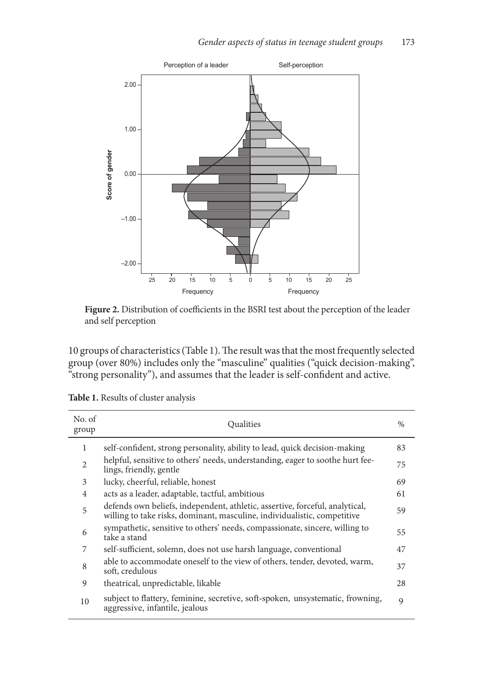

**Figure 2.** Distribution of coefficients in the BSRI test about the perception of the leader and self perception

10 groups of characteristics (Table 1). The result was that the most frequently selected group (over 80%) includes only the "masculine" qualities ("quick decision-making", "strong personality"), and assumes that the leader is self-confident and active.

| No. of<br>group | Oualities                                                                                                                                                | $\%$ |
|-----------------|----------------------------------------------------------------------------------------------------------------------------------------------------------|------|
| 1               | self-confident, strong personality, ability to lead, quick decision-making                                                                               | 83   |
| $\overline{c}$  | helpful, sensitive to others' needs, understanding, eager to soothe hurt fee-<br>lings, friendly, gentle                                                 | 75   |
| 3               | lucky, cheerful, reliable, honest                                                                                                                        | 69   |
| $\overline{4}$  | acts as a leader, adaptable, tactful, ambitious                                                                                                          | 61   |
| 5               | defends own beliefs, independent, athletic, assertive, forceful, analytical,<br>willing to take risks, dominant, masculine, individualistic, competitive | 59   |
| 6               | sympathetic, sensitive to others' needs, compassionate, sincere, willing to<br>take a stand                                                              | 55   |
| 7               | self-sufficient, solemn, does not use harsh language, conventional                                                                                       | 47   |
| 8               | able to accommodate oneself to the view of others, tender, devoted, warm,<br>soft, credulous                                                             | 37   |
| 9               | theatrical, unpredictable, likable                                                                                                                       | 28   |
| 10              | subject to flattery, feminine, secretive, soft-spoken, unsystematic, frowning,<br>aggressive, infantile, jealous                                         | 9    |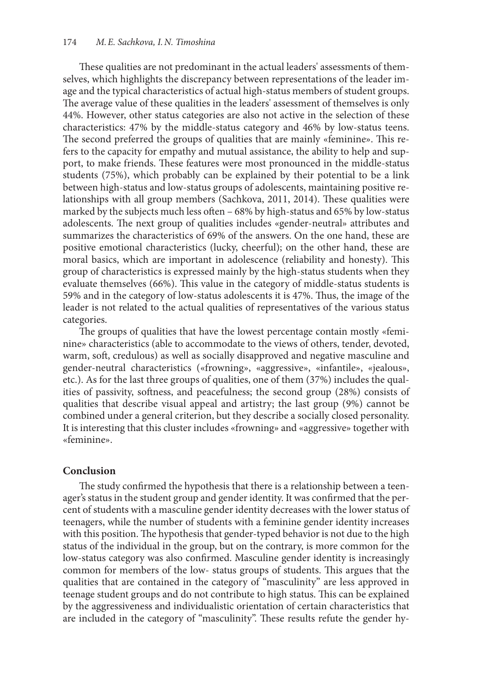These qualities are not predominant in the actual leaders' assessments of themselves, which highlights the discrepancy between representations of the leader image and the typical characteristics of actual high-status members of student groups. The average value of these qualities in the leaders' assessment of themselves is only 44%. However, other status categories are also not active in the selection of these characteristics: 47% by the middle-status category and 46% by low-status teens. The second preferred the groups of qualities that are mainly «feminine». This refers to the capacity for empathy and mutual assistance, the ability to help and support, to make friends. These features were most pronounced in the middle-status students (75%), which probably can be explained by their potential to be a link between high-status and low-status groups of adolescents, maintaining positive relationships with all group members (Sachkova, 2011, 2014). These qualities were marked by the subjects much less often – 68% by high-status and 65% by low-status adolescents. The next group of qualities includes «gender-neutral» attributes and summarizes the characteristics of 69% of the answers. On the one hand, these are positive emotional characteristics (lucky, cheerful); on the other hand, these are moral basics, which are important in adolescence (reliability and honesty). This group of characteristics is expressed mainly by the high-status students when they evaluate themselves (66%). This value in the category of middle-status students is 59% and in the category of low-status adolescents it is 47%. Thus, the image of the leader is not related to the actual qualities of representatives of the various status categories.

The groups of qualities that have the lowest percentage contain mostly «feminine» characteristics (able to accommodate to the views of others, tender, devoted, warm, soft, credulous) as well as socially disapproved and negative masculine and gender-neutral characteristics («frowning», «aggressive», «infantile», «jealous», etc.). As for the last three groups of qualities, one of them (37%) includes the qualities of passivity, softness, and peacefulness; the second group (28%) consists of qualities that describe visual appeal and artistry; the last group (9%) cannot be combined under a general criterion, but they describe a socially closed personality. It is interesting that this cluster includes «frowning» and «aggressive» together with «feminine».

#### **Conclusion**

The study confirmed the hypothesis that there is a relationship between a teenager's status in the student group and gender identity. It was confirmed that the percent of students with a masculine gender identity decreases with the lower status of teenagers, while the number of students with a feminine gender identity increases with this position. The hypothesis that gender-typed behavior is not due to the high status of the individual in the group, but on the contrary, is more common for the low-status category was also confirmed. Masculine gender identity is increasingly common for members of the low- status groups of students. This argues that the qualities that are contained in the category of "masculinity" are less approved in teenage student groups and do not contribute to high status. This can be explained by the aggressiveness and individualistic orientation of certain characteristics that are included in the category of "masculinity". These results refute the gender hy-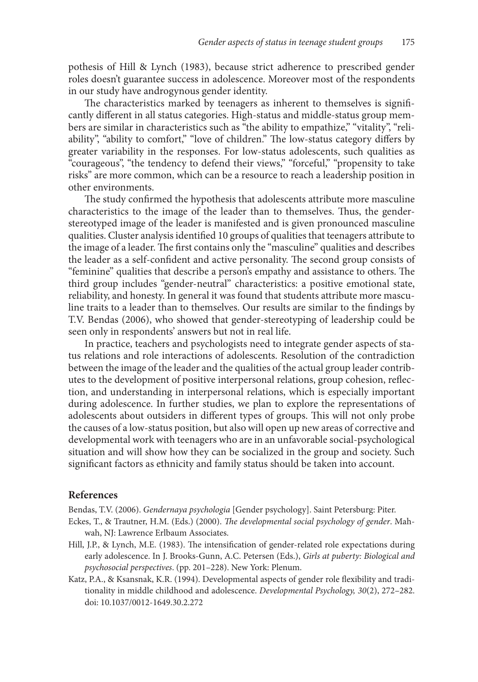pothesis of Hill & Lynch (1983), because strict adherence to prescribed gender roles doesn't guarantee success in adolescence. Moreover most of the respondents in our study have androgynous gender identity.

The characteristics marked by teenagers as inherent to themselves is significantly different in all status categories. High-status and middle-status group members are similar in characteristics such as "the ability to empathize," "vitality", "reliability", "ability to comfort," "love of children." The low-status category differs by greater variability in the responses. For low-status adolescents, such qualities as "courageous", "the tendency to defend their views," "forceful," "propensity to take risks" are more common, which can be a resource to reach a leadership position in other environments.

The study confirmed the hypothesis that adolescents attribute more masculine characteristics to the image of the leader than to themselves. Thus, the genderstereotyped image of the leader is manifested and is given pronounced masculine qualities. Cluster analysis identified 10 groups of qualities that teenagers attribute to the image of a leader. The first contains only the "masculine" qualities and describes the leader as a self-confident and active personality. The second group consists of "feminine" qualities that describe a person's empathy and assistance to others. The third group includes "gender-neutral" characteristics: a positive emotional state, reliability, and honesty. In general it was found that students attribute more masculine traits to a leader than to themselves. Our results are similar to the findings by T.V. Bendas (2006), who showed that gender-stereotyping of leadership could be seen only in respondents' answers but not in real life.

In practice, teachers and psychologists need to integrate gender aspects of status relations and role interactions of adolescents. Resolution of the contradiction between the image of the leader and the qualities of the actual group leader contributes to the development of positive interpersonal relations, group cohesion, reflection, and understanding in interpersonal relations, which is especially important during adolescence. In further studies, we plan to explore the representations of adolescents about outsiders in different types of groups. This will not only probe the causes of a low-status position, but also will open up new areas of corrective and developmental work with teenagers who are in an unfavorable social-psychological situation and will show how they can be socialized in the group and society. Such significant factors as ethnicity and family status should be taken into account.

#### **References**

Bendas, T.V. (2006). *Gendernaya psychologia* [Gender psychology]. Saint Petersburg: Piter.

- Eckes, T., & Trautner, H.M. (Eds.) (2000). *The developmental social psychology of gender*. Mahwah, NJ: Lawrence Erlbaum Associates.
- Hill, J.P., & Lynch, M.E. (1983). The intensification of gender-related role expectations during early adolescence. In J. Brooks-Gunn, A.C. Petersen (Eds.), *Girls at puberty: Biological and psychosocial perspectives*. (pp. 201–228). New York: Plenum.
- Katz, P.A., & Ksansnak, K.R. (1994). Developmental aspects of gender role flexibility and traditionality in middle childhood and adolescence. *Developmental Psychology, 30*(2), 272–282. doi: 10.1037/0012-1649.30.2.272